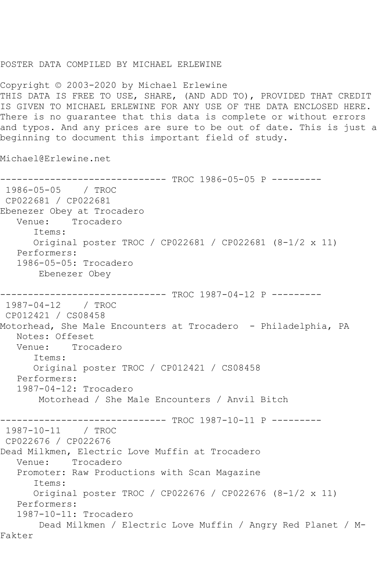## POSTER DATA COMPILED BY MICHAEL ERLEWINE

Copyright © 2003-2020 by Michael Erlewine THIS DATA IS FREE TO USE, SHARE, (AND ADD TO), PROVIDED THAT CREDIT IS GIVEN TO MICHAEL ERLEWINE FOR ANY USE OF THE DATA ENCLOSED HERE. There is no guarantee that this data is complete or without errors and typos. And any prices are sure to be out of date. This is just a beginning to document this important field of study.

Michael@Erlewine.net

------------------------------ TROC 1986-05-05 P --------- 1986-05-05 / TROC CP022681 / CP022681 Ebenezer Obey at Trocadero Venue: Trocadero Items: Original poster TROC / CP022681 / CP022681 (8-1/2 x 11) Performers: 1986-05-05: Trocadero Ebenezer Obey ------------------------------ TROC 1987-04-12 P --------- 1987-04-12 / TROC CP012421 / CS08458 Motorhead, She Male Encounters at Trocadero - Philadelphia, PA Notes: Offeset Venue: Trocadero Items: Original poster TROC / CP012421 / CS08458 Performers: 1987-04-12: Trocadero Motorhead / She Male Encounters / Anvil Bitch ------------------------------ TROC 1987-10-11 P --------- 1987-10-11 / TROC CP022676 / CP022676 Dead Milkmen, Electric Love Muffin at Trocadero Venue: Trocadero Promoter: Raw Productions with Scan Magazine Items: Original poster TROC / CP022676 / CP022676 (8-1/2 x 11) Performers: 1987-10-11: Trocadero Dead Milkmen / Electric Love Muffin / Angry Red Planet / M-Fakter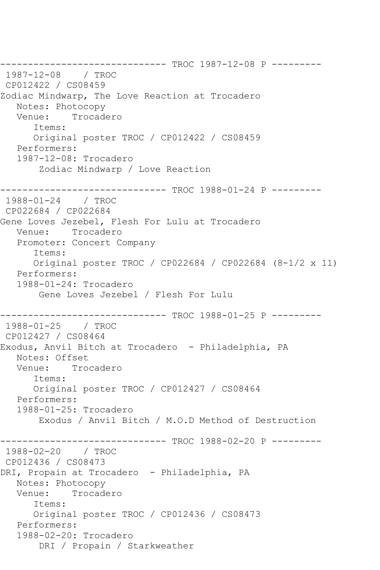------------------------------ TROC 1987-12-08 P --------- 1987-12-08 / TROC CP012422 / CS08459 Zodiac Mindwarp, The Love Reaction at Trocadero Notes: Photocopy<br>Venue: Trocade Trocadero Items: Original poster TROC / CP012422 / CS08459 Performers: 1987-12-08: Trocadero Zodiac Mindwarp / Love Reaction ------------------------------ TROC 1988-01-24 P --------- 1988-01-24 / TROC CP022684 / CP022684 Gene Loves Jezebel, Flesh For Lulu at Trocadero Venue: Trocadero Promoter: Concert Company Items: Original poster TROC / CP022684 / CP022684 (8-1/2 x 11) Performers: 1988-01-24: Trocadero Gene Loves Jezebel / Flesh For Lulu ------------------------------ TROC 1988-01-25 P --------- 1988-01-25 / TROC CP012427 / CS08464 Exodus, Anvil Bitch at Trocadero - Philadelphia, PA Notes: Offset Venue: Trocadero Items: Original poster TROC / CP012427 / CS08464 Performers: 1988-01-25: Trocadero Exodus / Anvil Bitch / M.O.D Method of Destruction ------------------------------ TROC 1988-02-20 P --------- 1988-02-20 / TROC CP012436 / CS08473 DRI, Propain at Trocadero - Philadelphia, PA Notes: Photocopy Venue: Trocadero Items: Original poster TROC / CP012436 / CS08473 Performers: 1988-02-20: Trocadero DRI / Propain / Starkweather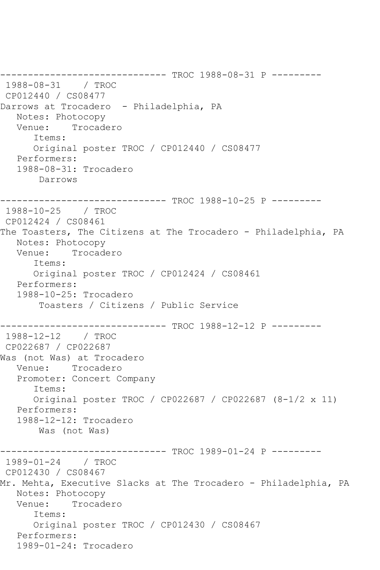------------------------------ TROC 1988-08-31 P --------- 1988-08-31 / TROC CP012440 / CS08477 Darrows at Trocadero - Philadelphia, PA Notes: Photocopy Venue: Trocadero Items: Original poster TROC / CP012440 / CS08477 Performers: 1988-08-31: Trocadero Darrows ------------------------------ TROC 1988-10-25 P --------- 1988-10-25 / TROC CP012424 / CS08461 The Toasters, The Citizens at The Trocadero - Philadelphia, PA Notes: Photocopy<br>Venue: Trocade Trocadero Items: Original poster TROC / CP012424 / CS08461 Performers: 1988-10-25: Trocadero Toasters / Citizens / Public Service ------------------------------ TROC 1988-12-12 P --------- 1988-12-12 / TROC CP022687 / CP022687 Was (not Was) at Trocadero Venue: Trocadero Promoter: Concert Company Items: Original poster TROC / CP022687 / CP022687 (8-1/2 x 11) Performers: 1988-12-12: Trocadero Was (not Was) ------------------------------ TROC 1989-01-24 P --------- 1989-01-24 / TROC CP012430 / CS08467 Mr. Mehta, Executive Slacks at The Trocadero - Philadelphia, PA Notes: Photocopy<br>Venue: Trocade Trocadero Items: Original poster TROC / CP012430 / CS08467 Performers: 1989-01-24: Trocadero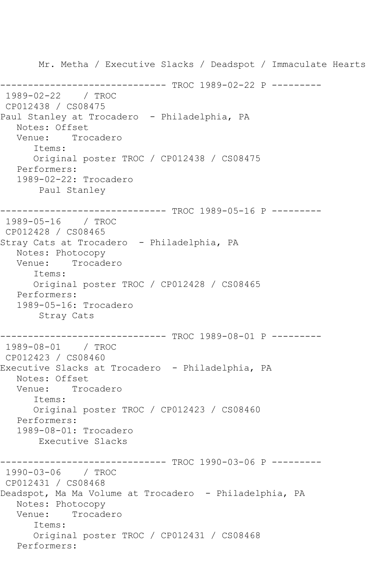Mr. Metha / Executive Slacks / Deadspot / Immaculate Hearts ------------------------------ TROC 1989-02-22 P --------- 1989-02-22 / TROC CP012438 / CS08475 Paul Stanley at Trocadero - Philadelphia, PA Notes: Offset<br>Venue: Troe Trocadero Items: Original poster TROC / CP012438 / CS08475 Performers: 1989-02-22: Trocadero Paul Stanley ------------------------------ TROC 1989-05-16 P --------- 1989-05-16 / TROC CP012428 / CS08465 Stray Cats at Trocadero - Philadelphia, PA Notes: Photocopy Venue: Trocadero Items: Original poster TROC / CP012428 / CS08465 Performers: 1989-05-16: Trocadero Stray Cats ------------------------------ TROC 1989-08-01 P --------- 1989-08-01 / TROC CP012423 / CS08460 Executive Slacks at Trocadero - Philadelphia, PA Notes: Offset<br>Venue: Troc Trocadero Items: Original poster TROC / CP012423 / CS08460 Performers: 1989-08-01: Trocadero Executive Slacks ------------------------------ TROC 1990-03-06 P --------- 1990-03-06 / TROC CP012431 / CS08468 Deadspot, Ma Ma Volume at Trocadero - Philadelphia, PA Notes: Photocopy Venue: Trocadero Items: Original poster TROC / CP012431 / CS08468 Performers: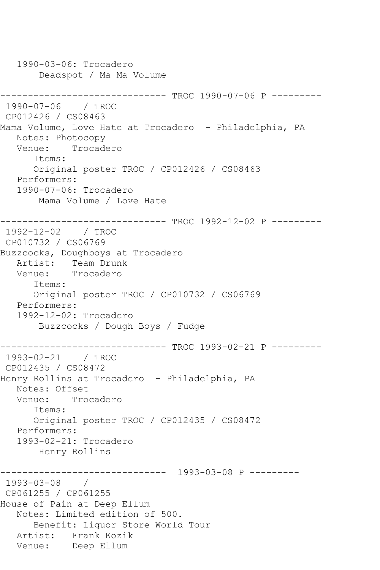1990-03-06: Trocadero Deadspot / Ma Ma Volume ------------------------------ TROC 1990-07-06 P --------- 1990-07-06 / TROC CP012426 / CS08463 Mama Volume, Love Hate at Trocadero - Philadelphia, PA Notes: Photocopy Venue: Trocadero Items: Original poster TROC / CP012426 / CS08463 Performers: 1990-07-06: Trocadero Mama Volume / Love Hate ------------------------------ TROC 1992-12-02 P --------- 1992-12-02 / TROC CP010732 / CS06769 Buzzcocks, Doughboys at Trocadero Artist: Team Drunk<br>Venue: Trocadero Trocadero Items: Original poster TROC / CP010732 / CS06769 Performers: 1992-12-02: Trocadero Buzzcocks / Dough Boys / Fudge ------------------------------ TROC 1993-02-21 P --------- 1993-02-21 / TROC CP012435 / CS08472 Henry Rollins at Trocadero - Philadelphia, PA Notes: Offset Venue: Trocadero Items: Original poster TROC / CP012435 / CS08472 Performers: 1993-02-21: Trocadero Henry Rollins ------------------------------ 1993-03-08 P --------- 1993-03-08 / CP061255 / CP061255 House of Pain at Deep Ellum Notes: Limited edition of 500. Benefit: Liquor Store World Tour Artist: Frank Kozik Venue: Deep Ellum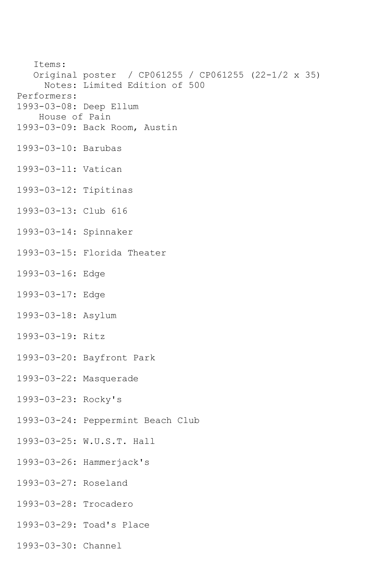Items: Original poster / CP061255 / CP061255 (22-1/2 x 35) Notes: Limited Edition of 500 Performers: 1993-03-08: Deep Ellum House of Pain 1993-03-09: Back Room, Austin 1993-03-10: Barubas 1993-03-11: Vatican 1993-03-12: Tipitinas 1993-03-13: Club 616 1993-03-14: Spinnaker 1993-03-15: Florida Theater 1993-03-16: Edge 1993-03-17: Edge 1993-03-18: Asylum 1993-03-19: Ritz 1993-03-20: Bayfront Park 1993-03-22: Masquerade 1993-03-23: Rocky's 1993-03-24: Peppermint Beach Club 1993-03-25: W.U.S.T. Hall 1993-03-26: Hammerjack's 1993-03-27: Roseland 1993-03-28: Trocadero

- 1993-03-29: Toad's Place
- 1993-03-30: Channel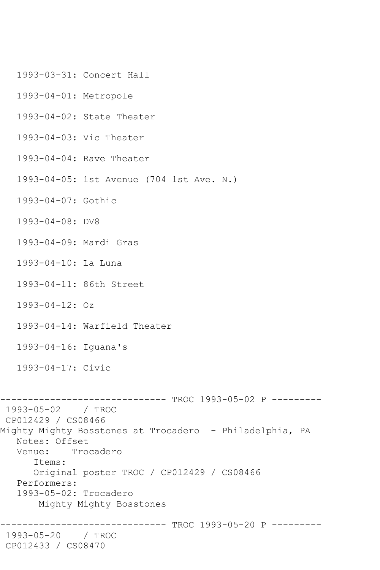- 1993-03-31: Concert Hall
- 1993-04-01: Metropole
- 1993-04-02: State Theater
- 1993-04-03: Vic Theater
- 1993-04-04: Rave Theater
- 1993-04-05: 1st Avenue (704 1st Ave. N.)
- 1993-04-07: Gothic
- 1993-04-08: DV8
- 1993-04-09: Mardi Gras
- 1993-04-10: La Luna
- 1993-04-11: 86th Street
- 1993-04-12: Oz
- 1993-04-14: Warfield Theater
- 1993-04-16: Iguana's
- 1993-04-17: Civic

------------------------------ TROC 1993-05-02 P --------- 1993-05-02 / TROC CP012429 / CS08466 Mighty Mighty Bosstones at Trocadero - Philadelphia, PA Notes: Offset<br>Venue: Tro Trocadero Items: Original poster TROC / CP012429 / CS08466 Performers: 1993-05-02: Trocadero Mighty Mighty Bosstones ------------------------------ TROC 1993-05-20 P --------- 1993-05-20 / TROC CP012433 / CS08470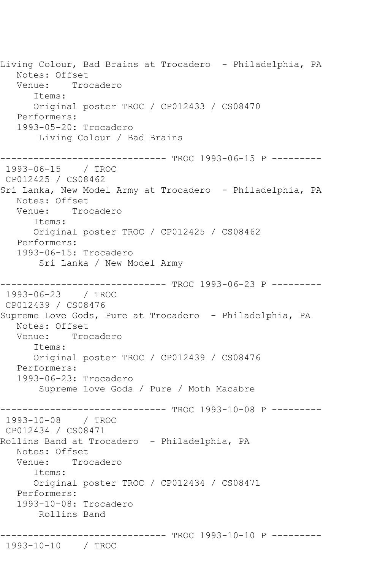Living Colour, Bad Brains at Trocadero - Philadelphia, PA Notes: Offset Venue: Trocadero Items: Original poster TROC / CP012433 / CS08470 Performers: 1993-05-20: Trocadero Living Colour / Bad Brains ------------------------------ TROC 1993-06-15 P --------- 1993-06-15 / TROC CP012425 / CS08462 Sri Lanka, New Model Army at Trocadero - Philadelphia, PA Notes: Offset Venue: Trocadero Items: Original poster TROC / CP012425 / CS08462 Performers: 1993-06-15: Trocadero Sri Lanka / New Model Army ------------------------------ TROC 1993-06-23 P --------- 1993-06-23 / TROC CP012439 / CS08476 Supreme Love Gods, Pure at Trocadero - Philadelphia, PA Notes: Offset Venue: Trocadero Items: Original poster TROC / CP012439 / CS08476 Performers: 1993-06-23: Trocadero Supreme Love Gods / Pure / Moth Macabre ------------------------------ TROC 1993-10-08 P --------- 1993-10-08 / TROC CP012434 / CS08471 Rollins Band at Trocadero - Philadelphia, PA Notes: Offset Venue: Trocadero Items: Original poster TROC / CP012434 / CS08471 Performers: 1993-10-08: Trocadero Rollins Band ------------------------------ TROC 1993-10-10 P --------- 1993-10-10 / TROC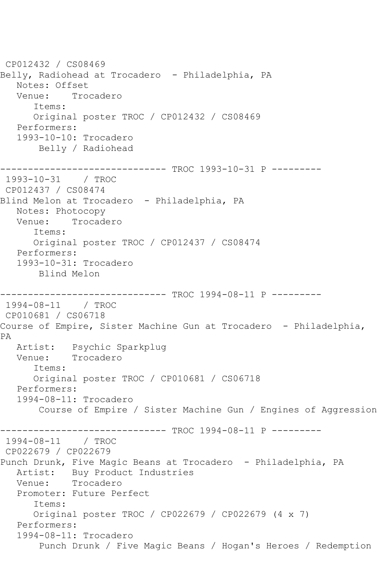CP012432 / CS08469 Belly, Radiohead at Trocadero - Philadelphia, PA Notes: Offset Venue: Trocadero Items: Original poster TROC / CP012432 / CS08469 Performers: 1993-10-10: Trocadero Belly / Radiohead ------------------------------ TROC 1993-10-31 P --------- 1993-10-31 / TROC CP012437 / CS08474 Blind Melon at Trocadero - Philadelphia, PA Notes: Photocopy Venue: Trocadero Items: Original poster TROC / CP012437 / CS08474 Performers: 1993-10-31: Trocadero Blind Melon ------------------------------ TROC 1994-08-11 P --------- 1994-08-11 / TROC CP010681 / CS06718 Course of Empire, Sister Machine Gun at Trocadero - Philadelphia, PA Artist: Psychic Sparkplug Venue: Trocadero Items: Original poster TROC / CP010681 / CS06718 Performers: 1994-08-11: Trocadero Course of Empire / Sister Machine Gun / Engines of Aggression ------------------------------ TROC 1994-08-11 P --------- 1994-08-11 / TROC CP022679 / CP022679 Punch Drunk, Five Magic Beans at Trocadero - Philadelphia, PA Artist: Buy Product Industries Venue: Trocadero Promoter: Future Perfect Items: Original poster TROC / CP022679 / CP022679 (4 x 7) Performers: 1994-08-11: Trocadero Punch Drunk / Five Magic Beans / Hogan's Heroes / Redemption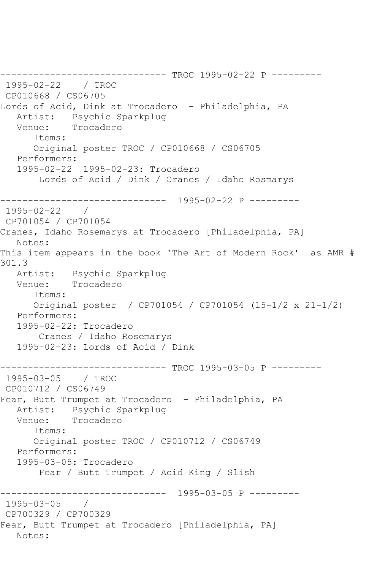```
------------------------------ TROC 1995-02-22 P ---------
1995-02-22 / TROC 
CP010668 / CS06705
Lords of Acid, Dink at Trocadero - Philadelphia, PA
  Artist: Psychic Sparkplug<br>Venue: Trocadero
            Trocadero
       Items:
      Original poster TROC / CP010668 / CS06705
   Performers:
   1995-02-22 1995-02-23: Trocadero
        Lords of Acid / Dink / Cranes / Idaho Rosmarys
------------------------------ 1995-02-22 P ---------
1995-02-22 / 
CP701054 / CP701054
Cranes, Idaho Rosemarys at Trocadero [Philadelphia, PA]
   Notes: 
This item appears in the book 'The Art of Modern Rock' as AMR # 
301.3
   Artist: Psychic Sparkplug
   Venue: Trocadero
      Items:
      Original poster / CP701054 / CP701054 (15-1/2 x 21-1/2)
   Performers:
   1995-02-22: Trocadero
        Cranes / Idaho Rosemarys
   1995-02-23: Lords of Acid / Dink
------------------------------ TROC 1995-03-05 P ---------
1995-03-05 / TROC 
CP010712 / CS06749
Fear, Butt Trumpet at Trocadero - Philadelphia, PA
   Artist: Psychic Sparkplug
   Venue: Trocadero
      Items:
      Original poster TROC / CP010712 / CS06749
   Performers:
   1995-03-05: Trocadero
        Fear / Butt Trumpet / Acid King / Slish
------------------------------ 1995-03-05 P ---------
1995-03-05 / 
CP700329 / CP700329
Fear, Butt Trumpet at Trocadero [Philadelphia, PA]
   Notes:
```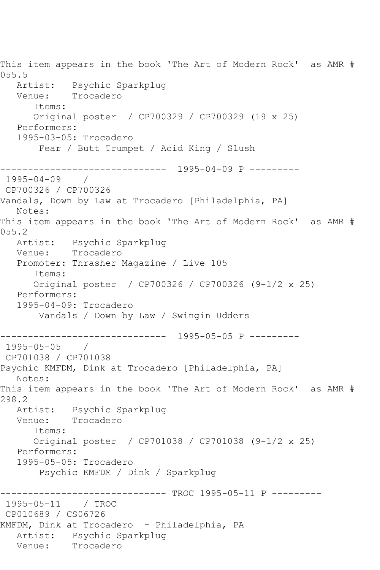This item appears in the book 'The Art of Modern Rock' as AMR # 055.5 Artist: Psychic Sparkplug Venue: Trocadero Items: Original poster / CP700329 / CP700329 (19 x 25) Performers: 1995-03-05: Trocadero Fear / Butt Trumpet / Acid King / Slush ------------------------------ 1995-04-09 P --------- 1995-04-09 / CP700326 / CP700326 Vandals, Down by Law at Trocadero [Philadelphia, PA] Notes: This item appears in the book 'The Art of Modern Rock' as AMR # 055.2 Artist: Psychic Sparkplug Venue: Trocadero Promoter: Thrasher Magazine / Live 105 Items: Original poster / CP700326 / CP700326 (9-1/2 x 25) Performers: 1995-04-09: Trocadero Vandals / Down by Law / Swingin Udders ------------------------------ 1995-05-05 P --------- 1995-05-05 / CP701038 / CP701038 Psychic KMFDM, Dink at Trocadero [Philadelphia, PA] Notes: This item appears in the book 'The Art of Modern Rock' as AMR # 298.2 Artist: Psychic Sparkplug Venue: Trocadero Items: Original poster / CP701038 / CP701038 (9-1/2 x 25) Performers: 1995-05-05: Trocadero Psychic KMFDM / Dink / Sparkplug ------------------------------ TROC 1995-05-11 P --------- 1995-05-11 / TROC CP010689 / CS06726 KMFDM, Dink at Trocadero - Philadelphia, PA Artist: Psychic Sparkplug<br>Venue: Trocadero Trocadero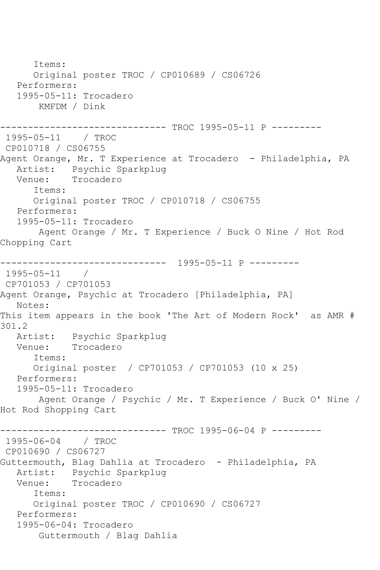Items: Original poster TROC / CP010689 / CS06726 Performers: 1995-05-11: Trocadero KMFDM / Dink ------------------------------ TROC 1995-05-11 P --------- 1995-05-11 / TROC CP010718 / CS06755 Agent Orange, Mr. T Experience at Trocadero - Philadelphia, PA Artist: Psychic Sparkplug Venue: Trocadero Items: Original poster TROC / CP010718 / CS06755 Performers: 1995-05-11: Trocadero Agent Orange / Mr. T Experience / Buck O Nine / Hot Rod Chopping Cart ------------------------------ 1995-05-11 P --------- 1995-05-11 / CP701053 / CP701053 Agent Orange, Psychic at Trocadero [Philadelphia, PA] Notes: This item appears in the book 'The Art of Modern Rock' as AMR # 301.2<br>Artist: Psychic Sparkplug Venue: Trocadero Items: Original poster / CP701053 / CP701053 (10 x 25) Performers: 1995-05-11: Trocadero Agent Orange / Psychic / Mr. T Experience / Buck O' Nine / Hot Rod Shopping Cart ------------------------------ TROC 1995-06-04 P --------- 1995-06-04 / TROC CP010690 / CS06727 Guttermouth, Blag Dahlia at Trocadero - Philadelphia, PA Artist: Psychic Sparkplug Venue: Trocadero Items: Original poster TROC / CP010690 / CS06727 Performers: 1995-06-04: Trocadero Guttermouth / Blag Dahlia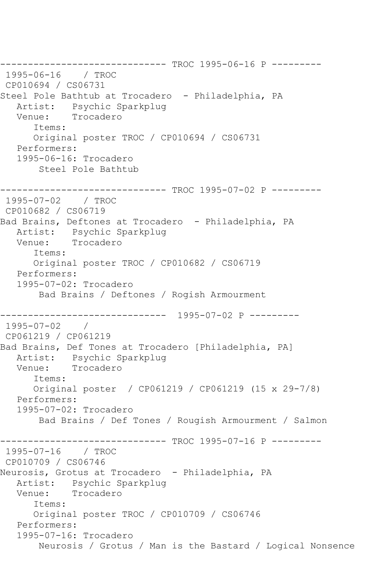------------------------------ TROC 1995-06-16 P --------- 1995-06-16 / TROC CP010694 / CS06731 Steel Pole Bathtub at Trocadero - Philadelphia, PA Artist: Psychic Sparkplug Venue: Trocadero Items: Original poster TROC / CP010694 / CS06731 Performers: 1995-06-16: Trocadero Steel Pole Bathtub ------------------------------ TROC 1995-07-02 P --------- 1995-07-02 / TROC CP010682 / CS06719 Bad Brains, Deftones at Trocadero - Philadelphia, PA Artist: Psychic Sparkplug Venue: Trocadero Items: Original poster TROC / CP010682 / CS06719 Performers: 1995-07-02: Trocadero Bad Brains / Deftones / Rogish Armourment ------------------------------ 1995-07-02 P --------- 1995-07-02 / CP061219 / CP061219 Bad Brains, Def Tones at Trocadero [Philadelphia, PA] Artist: Psychic Sparkplug Venue: Trocadero Items: Original poster / CP061219 / CP061219 (15 x 29-7/8) Performers: 1995-07-02: Trocadero Bad Brains / Def Tones / Rougish Armourment / Salmon ------------------------------ TROC 1995-07-16 P --------- 1995-07-16 / TROC CP010709 / CS06746 Neurosis, Grotus at Trocadero - Philadelphia, PA Artist: Psychic Sparkplug Venue: Trocadero Items: Original poster TROC / CP010709 / CS06746 Performers: 1995-07-16: Trocadero Neurosis / Grotus / Man is the Bastard / Logical Nonsence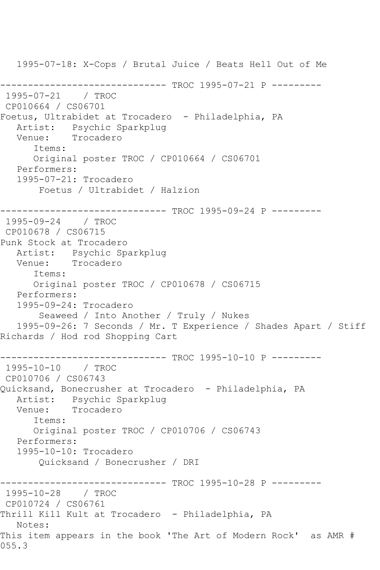1995-07-18: X-Cops / Brutal Juice / Beats Hell Out of Me ------------------------------ TROC 1995-07-21 P --------- 1995-07-21 / TROC CP010664 / CS06701 Foetus, Ultrabidet at Trocadero - Philadelphia, PA Artist: Psychic Sparkplug Venue: Trocadero Items: Original poster TROC / CP010664 / CS06701 Performers: 1995-07-21: Trocadero Foetus / Ultrabidet / Halzion ------------------------------ TROC 1995-09-24 P --------- 1995-09-24 / TROC CP010678 / CS06715 Punk Stock at Trocadero Artist: Psychic Sparkplug Venue: Trocadero Items: Original poster TROC / CP010678 / CS06715 Performers: 1995-09-24: Trocadero Seaweed / Into Another / Truly / Nukes 1995-09-26: 7 Seconds / Mr. T Experience / Shades Apart / Stiff Richards / Hod rod Shopping Cart ------------------------------ TROC 1995-10-10 P --------- 1995-10-10 / TROC CP010706 / CS06743 Quicksand, Bonecrusher at Trocadero - Philadelphia, PA Artist: Psychic Sparkplug<br>Venue: Trocadero Trocadero Items: Original poster TROC / CP010706 / CS06743 Performers: 1995-10-10: Trocadero Quicksand / Bonecrusher / DRI ------------------------------ TROC 1995-10-28 P --------- 1995-10-28 / TROC CP010724 / CS06761 Thrill Kill Kult at Trocadero - Philadelphia, PA Notes: This item appears in the book 'The Art of Modern Rock' as AMR # 055.3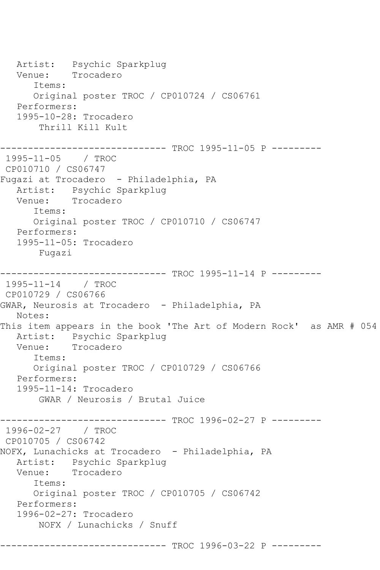Artist: Psychic Sparkplug<br>Venue: Trocadero Trocadero Items: Original poster TROC / CP010724 / CS06761 Performers: 1995-10-28: Trocadero Thrill Kill Kult ------------------------------ TROC 1995-11-05 P --------- 1995-11-05 / TROC CP010710 / CS06747 Fugazi at Trocadero - Philadelphia, PA Artist: Psychic Sparkplug<br>Venue: Trocadero Trocadero Items: Original poster TROC / CP010710 / CS06747 Performers: 1995-11-05: Trocadero Fugazi ------------------------------ TROC 1995-11-14 P --------- 1995-11-14 / TROC CP010729 / CS06766 GWAR, Neurosis at Trocadero - Philadelphia, PA Notes: This item appears in the book 'The Art of Modern Rock' as AMR # 054 Artist: Psychic Sparkplug Venue: Trocadero Items: Original poster TROC / CP010729 / CS06766 Performers: 1995-11-14: Trocadero GWAR / Neurosis / Brutal Juice ------------------------------ TROC 1996-02-27 P --------- 1996-02-27 / TROC CP010705 / CS06742 NOFX, Lunachicks at Trocadero - Philadelphia, PA Artist: Psychic Sparkplug<br>Venue: Trocadero Trocadero Items: Original poster TROC / CP010705 / CS06742 Performers: 1996-02-27: Trocadero NOFX / Lunachicks / Snuff --------- TROC 1996-03-22 P ---------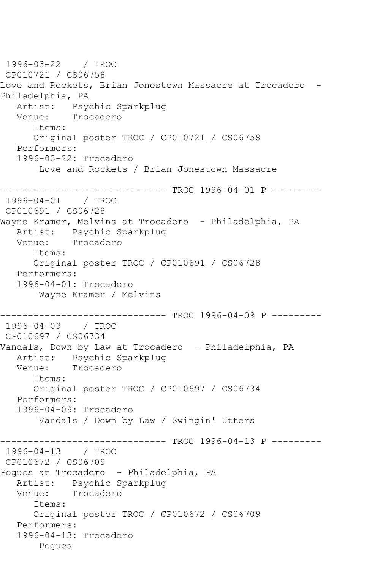1996-03-22 / TROC CP010721 / CS06758 Love and Rockets, Brian Jonestown Massacre at Trocadero -Philadelphia, PA Artist: Psychic Sparkplug Venue: Trocadero Items: Original poster TROC / CP010721 / CS06758 Performers: 1996-03-22: Trocadero Love and Rockets / Brian Jonestown Massacre ------------------------------ TROC 1996-04-01 P --------- 1996-04-01 / TROC CP010691 / CS06728 Wayne Kramer, Melvins at Trocadero - Philadelphia, PA Artist: Psychic Sparkplug<br>Venue: Trocadero Trocadero Items: Original poster TROC / CP010691 / CS06728 Performers: 1996-04-01: Trocadero Wayne Kramer / Melvins ------------------------------ TROC 1996-04-09 P --------- 1996-04-09 / TROC CP010697 / CS06734 Vandals, Down by Law at Trocadero - Philadelphia, PA Artist: Psychic Sparkplug Venue: Trocadero Items: Original poster TROC / CP010697 / CS06734 Performers: 1996-04-09: Trocadero Vandals / Down by Law / Swingin' Utters ------------------------------ TROC 1996-04-13 P --------- 1996-04-13 / TROC CP010672 / CS06709 Pogues at Trocadero - Philadelphia, PA Artist: Psychic Sparkplug Venue: Trocadero Items: Original poster TROC / CP010672 / CS06709 Performers: 1996-04-13: Trocadero Pogues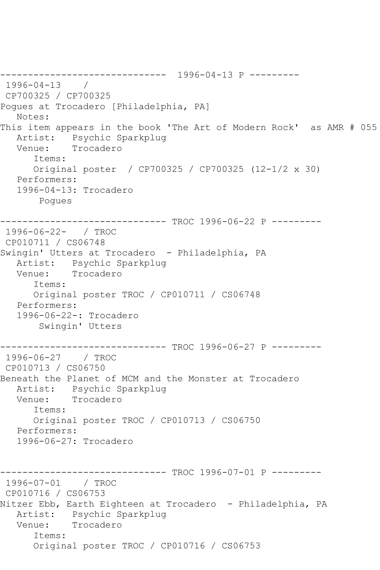------------------------------ 1996-04-13 P --------- 1996-04-13 / CP700325 / CP700325 Pogues at Trocadero [Philadelphia, PA] Notes: This item appears in the book 'The Art of Modern Rock' as AMR # 055 Artist: Psychic Sparkplug Venue: Trocadero Items: Original poster / CP700325 / CP700325 (12-1/2 x 30) Performers: 1996-04-13: Trocadero Pogues ------------------------------ TROC 1996-06-22 P --------- 1996-06-22- / TROC CP010711 / CS06748 Swingin' Utters at Trocadero - Philadelphia, PA Artist: Psychic Sparkplug Venue: Trocadero Items: Original poster TROC / CP010711 / CS06748 Performers: 1996-06-22-: Trocadero Swingin' Utters ------------------------------ TROC 1996-06-27 P --------- 1996-06-27 / TROC CP010713 / CS06750 Beneath the Planet of MCM and the Monster at Trocadero Artist: Psychic Sparkplug<br>Venue: Trocadero Trocadero Items: Original poster TROC / CP010713 / CS06750 Performers: 1996-06-27: Trocadero ------------------------------ TROC 1996-07-01 P --------- 1996-07-01 / TROC CP010716 / CS06753 Nitzer Ebb, Earth Eighteen at Trocadero - Philadelphia, PA Artist: Psychic Sparkplug Venue: Trocadero Items: Original poster TROC / CP010716 / CS06753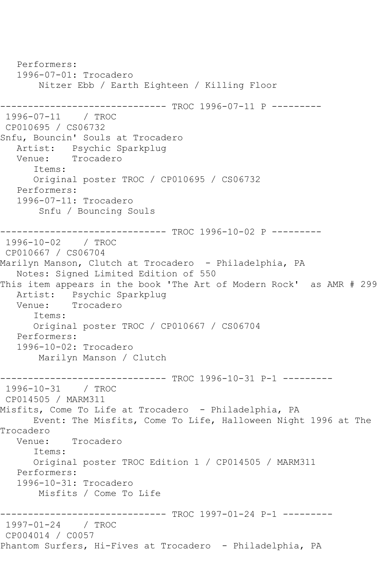Performers: 1996-07-01: Trocadero Nitzer Ebb / Earth Eighteen / Killing Floor ------------------------------ TROC 1996-07-11 P --------- 1996-07-11 / TROC CP010695 / CS06732 Snfu, Bouncin' Souls at Trocadero Artist: Psychic Sparkplug Venue: Trocadero Items: Original poster TROC / CP010695 / CS06732 Performers: 1996-07-11: Trocadero Snfu / Bouncing Souls ------------------------------ TROC 1996-10-02 P --------- 1996-10-02 / TROC CP010667 / CS06704 Marilyn Manson, Clutch at Trocadero - Philadelphia, PA Notes: Signed Limited Edition of 550 This item appears in the book 'The Art of Modern Rock' as AMR # 299 Artist: Psychic Sparkplug<br>Venue: Trocadero Trocadero Items: Original poster TROC / CP010667 / CS06704 Performers: 1996-10-02: Trocadero Marilyn Manson / Clutch ---------- TROC 1996-10-31 P-1 ---------1996-10-31 / TROC CP014505 / MARM311 Misfits, Come To Life at Trocadero - Philadelphia, PA Event: The Misfits, Come To Life, Halloween Night 1996 at The Trocadero<br>:Venue Trocadero Items: Original poster TROC Edition 1 / CP014505 / MARM311 Performers: 1996-10-31: Trocadero Misfits / Come To Life ------------------------------ TROC 1997-01-24 P-1 --------- 1997-01-24 / TROC CP004014 / C0057 Phantom Surfers, Hi-Fives at Trocadero - Philadelphia, PA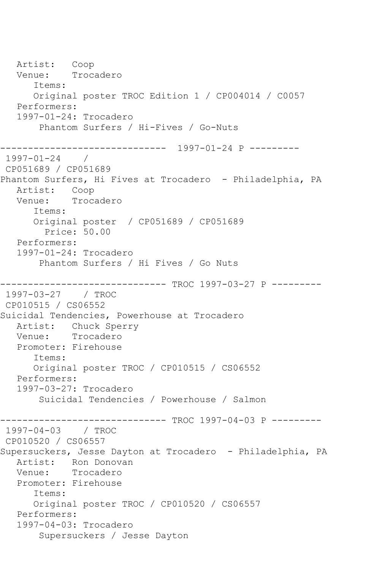Artist: Coop Venue: Trocadero Items: Original poster TROC Edition 1 / CP004014 / C0057 Performers: 1997-01-24: Trocadero Phantom Surfers / Hi-Fives / Go-Nuts ------------------------------ 1997-01-24 P --------- 1997-01-24 / CP051689 / CP051689 Phantom Surfers, Hi Fives at Trocadero - Philadelphia, PA Artist: Coop Venue: Trocadero Items: Original poster / CP051689 / CP051689 Price: 50.00 Performers: 1997-01-24: Trocadero Phantom Surfers / Hi Fives / Go Nuts ------------------------------ TROC 1997-03-27 P --------- 1997-03-27 / TROC CP010515 / CS06552 Suicidal Tendencies, Powerhouse at Trocadero Artist: Chuck Sperry Venue: Trocadero Promoter: Firehouse Items: Original poster TROC / CP010515 / CS06552 Performers: 1997-03-27: Trocadero Suicidal Tendencies / Powerhouse / Salmon ------------------------------ TROC 1997-04-03 P --------- 1997-04-03 / TROC CP010520 / CS06557 Supersuckers, Jesse Dayton at Trocadero - Philadelphia, PA Artist: Ron Donovan<br>Venue: Trocadero Trocadero Promoter: Firehouse Items: Original poster TROC / CP010520 / CS06557 Performers: 1997-04-03: Trocadero Supersuckers / Jesse Dayton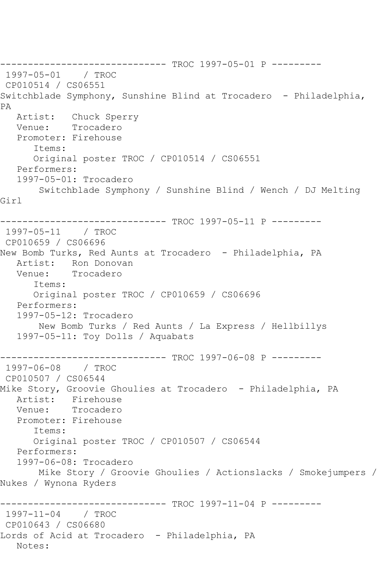------------------------------ TROC 1997-05-01 P --------- 1997-05-01 / TROC CP010514 / CS06551 Switchblade Symphony, Sunshine Blind at Trocadero - Philadelphia, PA Artist: Chuck Sperry Venue: Trocadero Promoter: Firehouse Items: Original poster TROC / CP010514 / CS06551 Performers: 1997-05-01: Trocadero Switchblade Symphony / Sunshine Blind / Wench / DJ Melting Girl ------------------------------ TROC 1997-05-11 P --------- 1997-05-11 / TROC CP010659 / CS06696 New Bomb Turks, Red Aunts at Trocadero - Philadelphia, PA Artist: Ron Donovan Venue: Trocadero Items: Original poster TROC / CP010659 / CS06696 Performers: 1997-05-12: Trocadero New Bomb Turks / Red Aunts / La Express / Hellbillys 1997-05-11: Toy Dolls / Aquabats ------------------------------ TROC 1997-06-08 P --------- 1997-06-08 / TROC CP010507 / CS06544 Mike Story, Groovie Ghoulies at Trocadero - Philadelphia, PA Artist: Firehouse<br>Venue: Trocadero Trocadero Promoter: Firehouse Items: Original poster TROC / CP010507 / CS06544 Performers: 1997-06-08: Trocadero Mike Story / Groovie Ghoulies / Actionslacks / Smokejumpers / Nukes / Wynona Ryders ------------------------------ TROC 1997-11-04 P --------- 1997-11-04 / TROC CP010643 / CS06680 Lords of Acid at Trocadero - Philadelphia, PA Notes: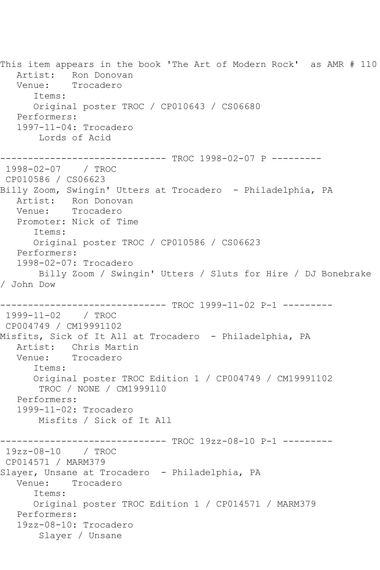This item appears in the book 'The Art of Modern Rock' as AMR # 110 Artist: Ron Donovan Venue: Trocadero Items: Original poster TROC / CP010643 / CS06680 Performers: 1997-11-04: Trocadero Lords of Acid ------------------------------ TROC 1998-02-07 P --------- 1998-02-07 / TROC CP010586 / CS06623 Billy Zoom, Swingin' Utters at Trocadero - Philadelphia, PA Artist: Ron Donovan Venue: Trocadero Promoter: Nick of Time Items: Original poster TROC / CP010586 / CS06623 Performers: 1998-02-07: Trocadero Billy Zoom / Swingin' Utters / Sluts for Hire / DJ Bonebrake / John Dow ------------------------------ TROC 1999-11-02 P-1 --------- 1999-11-02 / TROC CP004749 / CM19991102 Misfits, Sick of It All at Trocadero - Philadelphia, PA Artist: Chris Martin Venue: Trocadero Items: Original poster TROC Edition 1 / CP004749 / CM19991102 TROC / NONE / CM1999110 Performers: 1999-11-02: Trocadero Misfits / Sick of It All ------------------------------ TROC 19zz-08-10 P-1 --------- 19zz-08-10 / TROC CP014571 / MARM379 Slayer, Unsane at Trocadero - Philadelphia, PA Venue: Trocadero Items: Original poster TROC Edition 1 / CP014571 / MARM379 Performers: 19zz-08-10: Trocadero Slayer / Unsane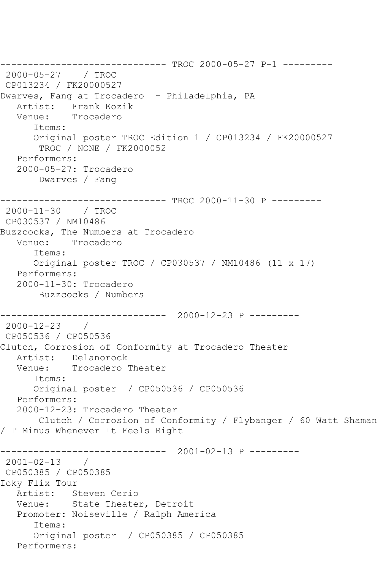------------------------------ TROC 2000-05-27 P-1 --------- 2000-05-27 / TROC CP013234 / FK20000527 Dwarves, Fang at Trocadero - Philadelphia, PA Artist: Frank Kozik Venue: Trocadero Items: Original poster TROC Edition 1 / CP013234 / FK20000527 TROC / NONE / FK2000052 Performers: 2000-05-27: Trocadero Dwarves / Fang ------------------------------ TROC 2000-11-30 P --------- 2000-11-30 / TROC CP030537 / NM10486 Buzzcocks, The Numbers at Trocadero Venue: Trocadero Items: Original poster TROC / CP030537 / NM10486 (11 x 17) Performers: 2000-11-30: Trocadero Buzzcocks / Numbers ------------------------------ 2000-12-23 P --------- 2000-12-23 / CP050536 / CP050536 Clutch, Corrosion of Conformity at Trocadero Theater Artist: Delanorock Venue: Trocadero Theater Items: Original poster / CP050536 / CP050536 Performers: 2000-12-23: Trocadero Theater Clutch / Corrosion of Conformity / Flybanger / 60 Watt Shaman / T Minus Whenever It Feels Right ------------------------------ 2001-02-13 P --------- 2001-02-13 / CP050385 / CP050385 Icky Flix Tour Artist: Steven Cerio Venue: State Theater, Detroit Promoter: Noiseville / Ralph America Items: Original poster / CP050385 / CP050385 Performers: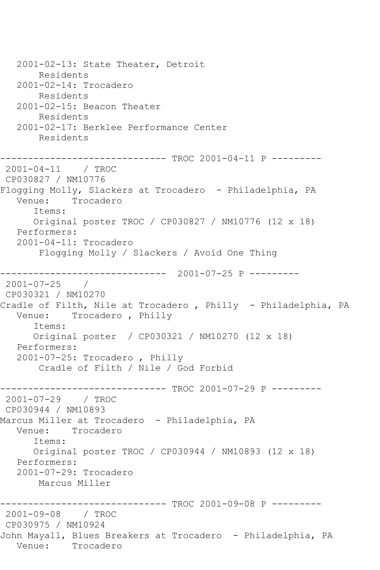2001-02-13: State Theater, Detroit Residents 2001-02-14: Trocadero Residents 2001-02-15: Beacon Theater Residents 2001-02-17: Berklee Performance Center Residents ------------------------------ TROC 2001-04-11 P --------- 2001-04-11 / TROC CP030827 / NM10776 Flogging Molly, Slackers at Trocadero - Philadelphia, PA Venue: Trocadero Items: Original poster TROC / CP030827 / NM10776 (12 x 18) Performers: 2001-04-11: Trocadero Flogging Molly / Slackers / Avoid One Thing ------------------------------ 2001-07-25 P --------- 2001-07-25 / CP030321 / NM10270 Cradle of Filth, Nile at Trocadero , Philly - Philadelphia, PA Venue: Trocadero , Philly Items: Original poster / CP030321 / NM10270 (12 x 18) Performers: 2001-07-25: Trocadero , Philly Cradle of Filth / Nile / God Forbid ------------------------------ TROC 2001-07-29 P --------- 2001-07-29 / TROC CP030944 / NM10893 Marcus Miller at Trocadero - Philadelphia, PA Venue: Trocadero Items: Original poster TROC / CP030944 / NM10893 (12 x 18) Performers: 2001-07-29: Trocadero Marcus Miller ------------------------------ TROC 2001-09-08 P --------- 2001-09-08 / TROC CP030975 / NM10924 John Mayall, Blues Breakers at Trocadero - Philadelphia, PA Trocadero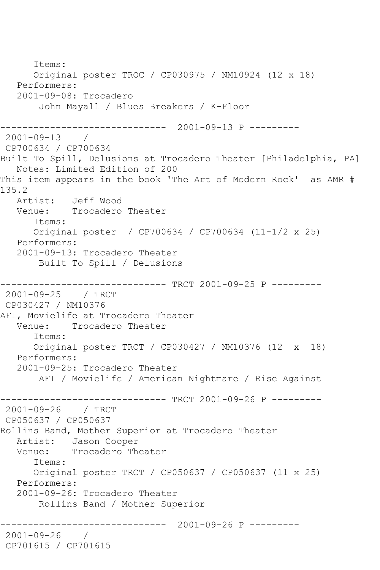Items: Original poster TROC / CP030975 / NM10924 (12 x 18) Performers: 2001-09-08: Trocadero John Mayall / Blues Breakers / K-Floor ------------------------------ 2001-09-13 P --------- 2001-09-13 / CP700634 / CP700634 Built To Spill, Delusions at Trocadero Theater [Philadelphia, PA] Notes: Limited Edition of 200 This item appears in the book 'The Art of Modern Rock' as AMR # 135.2 Artist: Jeff Wood Venue: Trocadero Theater Items: Original poster / CP700634 / CP700634 (11-1/2 x 25) Performers: 2001-09-13: Trocadero Theater Built To Spill / Delusions ------------------------------ TRCT 2001-09-25 P --------- 2001-09-25 / TRCT CP030427 / NM10376 AFI, Movielife at Trocadero Theater Venue: Trocadero Theater Items: Original poster TRCT / CP030427 / NM10376 (12 x 18) Performers: 2001-09-25: Trocadero Theater AFI / Movielife / American Nightmare / Rise Against ------------------------------ TRCT 2001-09-26 P --------- 2001-09-26 / TRCT CP050637 / CP050637 Rollins Band, Mother Superior at Trocadero Theater Artist: Jason Cooper Venue: Trocadero Theater Items: Original poster TRCT / CP050637 / CP050637 (11 x 25) Performers: 2001-09-26: Trocadero Theater Rollins Band / Mother Superior ------------------------------ 2001-09-26 P --------- 2001-09-26 / CP701615 / CP701615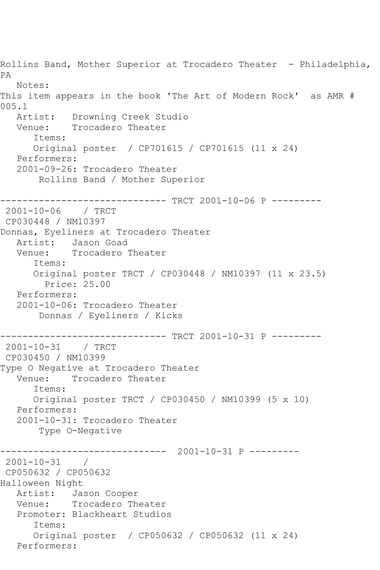Rollins Band, Mother Superior at Trocadero Theater - Philadelphia, PA Notes: This item appears in the book 'The Art of Modern Rock' as AMR # 005.1<br>Artist: Artist: Drowning Creek Studio<br>Venue: Trocadero Theater Trocadero Theater Items: Original poster / CP701615 / CP701615 (11 x 24) Performers: 2001-09-26: Trocadero Theater Rollins Band / Mother Superior ------------------------------ TRCT 2001-10-06 P --------- 2001-10-06 / TRCT CP030448 / NM10397 Donnas, Eyeliners at Trocadero Theater Artist: Jason Goad Venue: Trocadero Theater Items: Original poster TRCT / CP030448 / NM10397 (11 x 23.5) Price: 25.00 Performers: 2001-10-06: Trocadero Theater Donnas / Eyeliners / Kicks ------------------------------ TRCT 2001-10-31 P --------- 2001-10-31 / TRCT CP030450 / NM10399 Type O Negative at Trocadero Theater<br>Venue: Trocadero Theater Trocadero Theater Items: Original poster TRCT / CP030450 / NM10399 (5 x 10) Performers: 2001-10-31: Trocadero Theater Type O-Negative ------------------------------ 2001-10-31 P --------- 2001-10-31 / CP050632 / CP050632 Halloween Night Artist: Jason Cooper Venue: Trocadero Theater Promoter: Blackheart Studios Items: Original poster / CP050632 / CP050632 (11 x 24) Performers: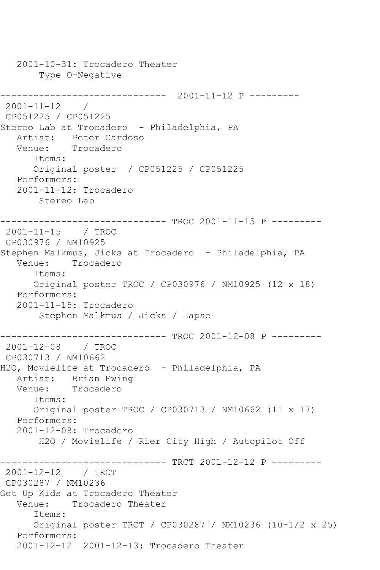2001-10-31: Trocadero Theater Type O-Negative ------------------------------ 2001-11-12 P --------- 2001-11-12 / CP051225 / CP051225 Stereo Lab at Trocadero - Philadelphia, PA Artist: Peter Cardoso Venue: Trocadero Items: Original poster / CP051225 / CP051225 Performers: 2001-11-12: Trocadero Stereo Lab ------------------------------ TROC 2001-11-15 P --------- 2001-11-15 / TROC CP030976 / NM10925 Stephen Malkmus, Jicks at Trocadero - Philadelphia, PA Venue: Trocadero Items: Original poster TROC / CP030976 / NM10925 (12 x 18) Performers: 2001-11-15: Trocadero Stephen Malkmus / Jicks / Lapse ------------------------------ TROC 2001-12-08 P --------- 2001-12-08 / TROC CP030713 / NM10662 H2O, Movielife at Trocadero - Philadelphia, PA Artist: Brian Ewing Venue: Trocadero Items: Original poster TROC / CP030713 / NM10662 (11 x 17) Performers: 2001-12-08: Trocadero H2O / Movielife / Rier City High / Autopilot Off ------------------------------ TRCT 2001-12-12 P --------- 2001-12-12 / TRCT CP030287 / NM10236 Get Up Kids at Trocadero Theater Venue: Trocadero Theater Items: Original poster TRCT / CP030287 / NM10236 (10-1/2 x 25) Performers: 2001-12-12 2001-12-13: Trocadero Theater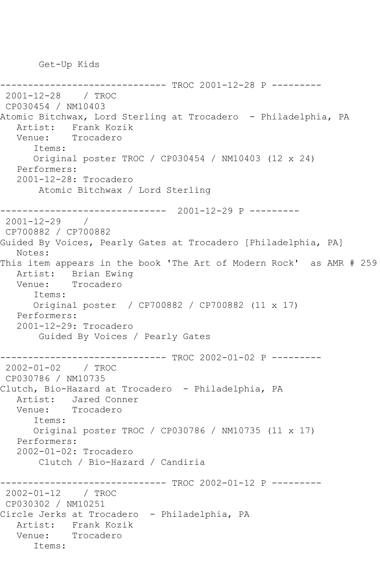Get-Up Kids

```
-------------- TROC 2001-12-28 P ---------
2001-12-28 / TROC 
CP030454 / NM10403
Atomic Bitchwax, Lord Sterling at Trocadero - Philadelphia, PA
   Artist: Frank Kozik
   Venue: Trocadero
       Items:
      Original poster TROC / CP030454 / NM10403 (12 x 24)
   Performers:
   2001-12-28: Trocadero
        Atomic Bitchwax / Lord Sterling
        ------------------------------ 2001-12-29 P ---------
2001-12-29 / 
CP700882 / CP700882
Guided By Voices, Pearly Gates at Trocadero [Philadelphia, PA]
   Notes: 
This item appears in the book 'The Art of Modern Rock' as AMR # 259
   Artist: Brian Ewing
   Venue: Trocadero
      Items:
      Original poster / CP700882 / CP700882 (11 x 17)
   Performers:
   2001-12-29: Trocadero
        Guided By Voices / Pearly Gates
------------------------------ TROC 2002-01-02 P ---------
2002-01-02 / TROC 
CP030786 / NM10735
Clutch, Bio-Hazard at Trocadero - Philadelphia, PA
  Artist: Jared Conner<br>Venue: Trocadero
            Trocadero
       Items:
      Original poster TROC / CP030786 / NM10735 (11 x 17)
   Performers:
   2002-01-02: Trocadero
        Clutch / Bio-Hazard / Candiria
                    ----------- TROC 2002-01-12 P ---------
2002-01-12 / TROC 
CP030302 / NM10251
Circle Jerks at Trocadero - Philadelphia, PA
   Artist: Frank Kozik
   Venue: Trocadero
      Items:
```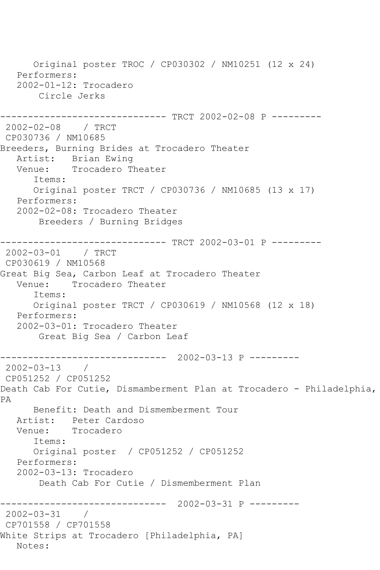Original poster TROC / CP030302 / NM10251 (12 x 24) Performers: 2002-01-12: Trocadero Circle Jerks ------------------------------ TRCT 2002-02-08 P --------- 2002-02-08 / TRCT CP030736 / NM10685 Breeders, Burning Brides at Trocadero Theater Artist: Brian Ewing<br>Venue: Trocadero Tl Trocadero Theater Items: Original poster TRCT / CP030736 / NM10685 (13 x 17) Performers: 2002-02-08: Trocadero Theater Breeders / Burning Bridges ------------------------------ TRCT 2002-03-01 P --------- 2002-03-01 / TRCT CP030619 / NM10568 Great Big Sea, Carbon Leaf at Trocadero Theater Venue: Trocadero Theater Items: Original poster TRCT / CP030619 / NM10568 (12 x 18) Performers: 2002-03-01: Trocadero Theater Great Big Sea / Carbon Leaf ------------------------------ 2002-03-13 P --------- 2002-03-13 / CP051252 / CP051252 Death Cab For Cutie, Dismamberment Plan at Trocadero - Philadelphia, PA Benefit: Death and Dismemberment Tour Artist: Peter Cardoso Venue: Trocadero Items: Original poster / CP051252 / CP051252 Performers: 2002-03-13: Trocadero Death Cab For Cutie / Dismemberment Plan ------------------------------ 2002-03-31 P --------- 2002-03-31 / CP701558 / CP701558 White Strips at Trocadero [Philadelphia, PA] Notes: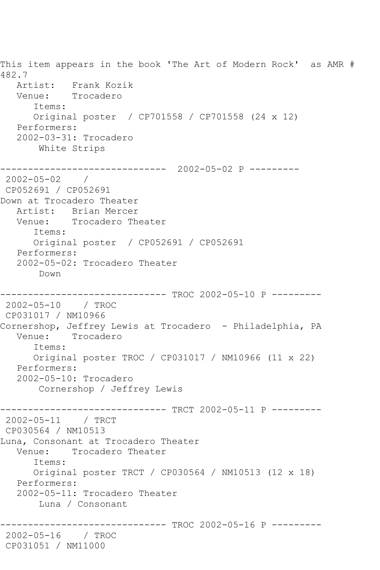This item appears in the book 'The Art of Modern Rock' as AMR # 482.7 Artist: Frank Kozik Venue: Trocadero Items: Original poster / CP701558 / CP701558 (24 x 12) Performers: 2002-03-31: Trocadero White Strips ------------------------------ 2002-05-02 P --------- 2002-05-02 / CP052691 / CP052691 Down at Trocadero Theater Artist: Brian Mercer Venue: Trocadero Theater Items: Original poster / CP052691 / CP052691 Performers: 2002-05-02: Trocadero Theater Down ------------------------------ TROC 2002-05-10 P --------- 2002-05-10 / TROC CP031017 / NM10966 Cornershop, Jeffrey Lewis at Trocadero - Philadelphia, PA<br>Venue: Trocadero Trocadero Items: Original poster TROC / CP031017 / NM10966 (11 x 22) Performers: 2002-05-10: Trocadero Cornershop / Jeffrey Lewis ------------------------------ TRCT 2002-05-11 P --------- 2002-05-11 / TRCT CP030564 / NM10513 Luna, Consonant at Trocadero Theater Venue: Trocadero Theater Items: Original poster TRCT / CP030564 / NM10513 (12 x 18) Performers: 2002-05-11: Trocadero Theater Luna / Consonant -------------- TROC 2002-05-16 P ---------2002-05-16 / TROC CP031051 / NM11000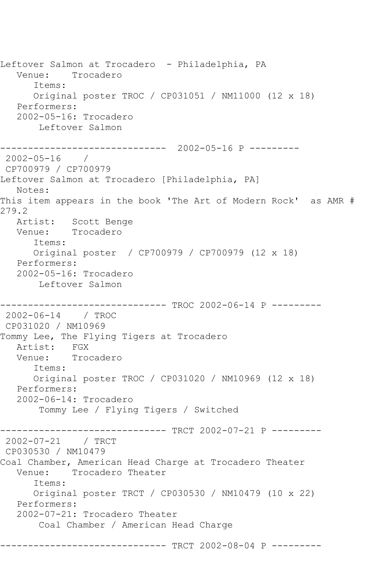Leftover Salmon at Trocadero - Philadelphia, PA Venue: Trocadero Items: Original poster TROC / CP031051 / NM11000 (12 x 18) Performers: 2002-05-16: Trocadero Leftover Salmon ------------------------------ 2002-05-16 P --------- 2002-05-16 / CP700979 / CP700979 Leftover Salmon at Trocadero [Philadelphia, PA] Notes: This item appears in the book 'The Art of Modern Rock' as AMR # 279.2 Artist: Scott Benge Venue: Trocadero Items: Original poster / CP700979 / CP700979 (12 x 18) Performers: 2002-05-16: Trocadero Leftover Salmon ------------------------------ TROC 2002-06-14 P --------- 2002-06-14 / TROC CP031020 / NM10969 Tommy Lee, The Flying Tigers at Trocadero Artist: FGX Venue: Trocadero Items: Original poster TROC / CP031020 / NM10969 (12 x 18) Performers: 2002-06-14: Trocadero Tommy Lee / Flying Tigers / Switched ------------------------------ TRCT 2002-07-21 P --------- 2002-07-21 / TRCT CP030530 / NM10479 Coal Chamber, American Head Charge at Trocadero Theater<br>Venue: Trocadero Theater Trocadero Theater Items: Original poster TRCT / CP030530 / NM10479 (10 x 22) Performers: 2002-07-21: Trocadero Theater Coal Chamber / American Head Charge

------------------------------ TRCT 2002-08-04 P ---------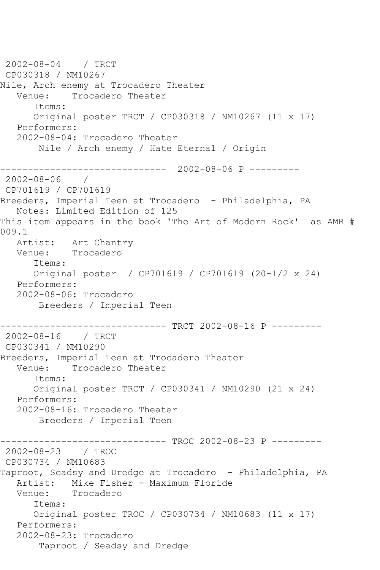2002-08-04 / TRCT CP030318 / NM10267 Nile, Arch enemy at Trocadero Theater Venue: Trocadero Theater Items: Original poster TRCT / CP030318 / NM10267 (11 x 17) Performers: 2002-08-04: Trocadero Theater Nile / Arch enemy / Hate Eternal / Origin ------------------------------ 2002-08-06 P --------- 2002-08-06 / CP701619 / CP701619 Breeders, Imperial Teen at Trocadero - Philadelphia, PA Notes: Limited Edition of 125 This item appears in the book 'The Art of Modern Rock' as AMR # 009.1 Artist: Art Chantry Venue: Trocadero Items: Original poster / CP701619 / CP701619 (20-1/2 x 24) Performers: 2002-08-06: Trocadero Breeders / Imperial Teen ------------------------------ TRCT 2002-08-16 P --------- 2002-08-16 / TRCT CP030341 / NM10290 Breeders, Imperial Teen at Trocadero Theater<br>Venue: Trocadero Theater Trocadero Theater Items: Original poster TRCT / CP030341 / NM10290 (21 x 24) Performers: 2002-08-16: Trocadero Theater Breeders / Imperial Teen ------------------------------ TROC 2002-08-23 P --------- 2002-08-23 / TROC CP030734 / NM10683 Taproot, Seadsy and Dredge at Trocadero - Philadelphia, PA Artist: Mike Fisher - Maximum Floride Venue: Trocadero Items: Original poster TROC / CP030734 / NM10683 (11 x 17) Performers: 2002-08-23: Trocadero Taproot / Seadsy and Dredge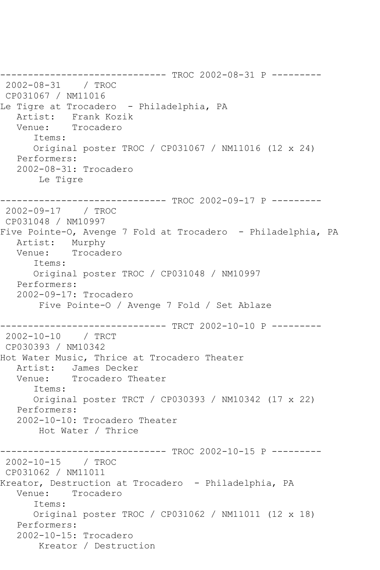------------------------------ TROC 2002-08-31 P --------- 2002-08-31 / TROC CP031067 / NM11016 Le Tigre at Trocadero - Philadelphia, PA Artist: Frank Kozik<br>Venue: Trocadero Trocadero Items: Original poster TROC / CP031067 / NM11016 (12 x 24) Performers: 2002-08-31: Trocadero Le Tigre ------------------------------ TROC 2002-09-17 P --------- 2002-09-17 / TROC CP031048 / NM10997 Five Pointe-O, Avenge 7 Fold at Trocadero - Philadelphia, PA Artist: Murphy<br>Venue: Trocade Trocadero Items: Original poster TROC / CP031048 / NM10997 Performers: 2002-09-17: Trocadero Five Pointe-O / Avenge 7 Fold / Set Ablaze ------------------------------ TRCT 2002-10-10 P --------- 2002-10-10 / TRCT CP030393 / NM10342 Hot Water Music, Thrice at Trocadero Theater Artist: James Decker Venue: Trocadero Theater Items: Original poster TRCT / CP030393 / NM10342 (17 x 22) Performers: 2002-10-10: Trocadero Theater Hot Water / Thrice ------------------------------ TROC 2002-10-15 P --------- 2002-10-15 / TROC CP031062 / NM11011 Kreator, Destruction at Trocadero - Philadelphia, PA Venue: Trocadero Items: Original poster TROC / CP031062 / NM11011 (12 x 18) Performers: 2002-10-15: Trocadero Kreator / Destruction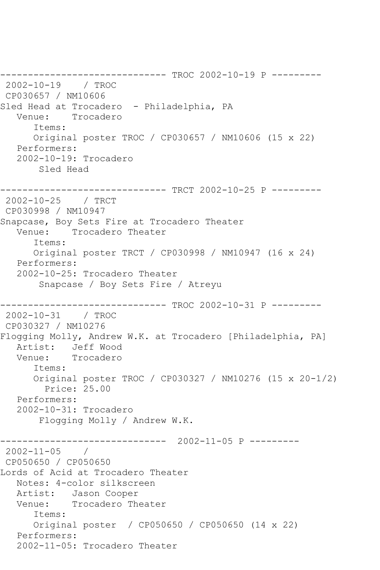------------------------------ TROC 2002-10-19 P --------- 2002-10-19 / TROC CP030657 / NM10606 Sled Head at Trocadero - Philadelphia, PA Venue: Trocadero Items: Original poster TROC / CP030657 / NM10606 (15 x 22) Performers: 2002-10-19: Trocadero Sled Head ------------------------------ TRCT 2002-10-25 P --------- 2002-10-25 / TRCT CP030998 / NM10947 Snapcase, Boy Sets Fire at Trocadero Theater Venue: Trocadero Theater Items: Original poster TRCT / CP030998 / NM10947 (16 x 24) Performers: 2002-10-25: Trocadero Theater Snapcase / Boy Sets Fire / Atreyu ------------------------------ TROC 2002-10-31 P --------- 2002-10-31 / TROC CP030327 / NM10276 Flogging Molly, Andrew W.K. at Trocadero [Philadelphia, PA] Artist: Jeff Wood<br>Venue: Trocadero Trocadero Items: Original poster TROC / CP030327 / NM10276 (15 x 20-1/2) Price: 25.00 Performers: 2002-10-31: Trocadero Flogging Molly / Andrew W.K. ------------------------------ 2002-11-05 P --------- 2002-11-05 / CP050650 / CP050650 Lords of Acid at Trocadero Theater Notes: 4-color silkscreen Artist: Jason Cooper Venue: Trocadero Theater Items: Original poster / CP050650 / CP050650 (14 x 22) Performers: 2002-11-05: Trocadero Theater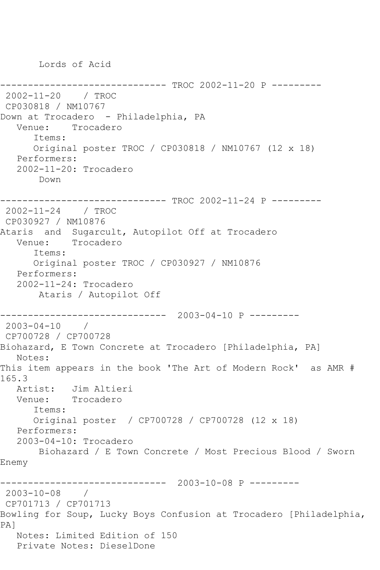Lords of Acid

```
------------------------------ TROC 2002-11-20 P ---------
2002-11-20 / TROC 
CP030818 / NM10767
Down at Trocadero - Philadelphia, PA
   Venue: Trocadero
       Items:
       Original poster TROC / CP030818 / NM10767 (12 x 18)
   Performers:
    2002-11-20: Trocadero
        Down
------------------------------ TROC 2002-11-24 P ---------
2002-11-24 / TROC 
CP030927 / NM10876
Ataris and Sugarcult, Autopilot Off at Trocadero
   Venue: Trocadero
       Items:
       Original poster TROC / CP030927 / NM10876
   Performers:
    2002-11-24: Trocadero
        Ataris / Autopilot Off
               ------------------------------ 2003-04-10 P ---------
2003-04-10 / 
CP700728 / CP700728
Biohazard, E Town Concrete at Trocadero [Philadelphia, PA]
   Notes: 
This item appears in the book 'The Art of Modern Rock' as AMR # 
165.3
   Artist: Jim Altieri
   Venue: Trocadero
       Items:
       Original poster / CP700728 / CP700728 (12 x 18)
   Performers:
    2003-04-10: Trocadero
        Biohazard / E Town Concrete / Most Precious Blood / Sworn 
Enemy
                ------------------------------ 2003-10-08 P ---------
2003-10-08 / 
CP701713 / CP701713
Bowling for Soup, Lucky Boys Confusion at Trocadero [Philadelphia, 
PA]
   Notes: Limited Edition of 150
   Private Notes: DieselDone
```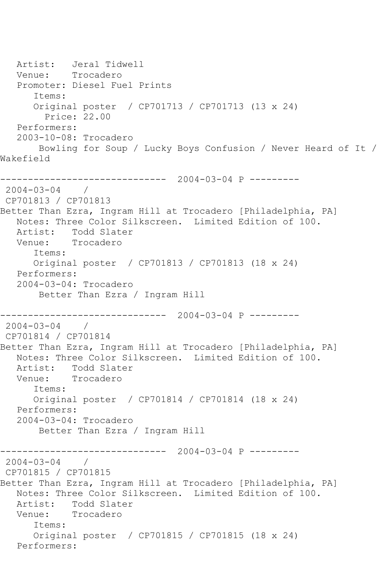Artist: Jeral Tidwell<br>Venue: Trocadero Trocadero Promoter: Diesel Fuel Prints Items: Original poster / CP701713 / CP701713 (13 x 24) Price: 22.00 Performers: 2003-10-08: Trocadero Bowling for Soup / Lucky Boys Confusion / Never Heard of It / Wakefield ------------------------------ 2004-03-04 P --------- 2004-03-04 / CP701813 / CP701813 Better Than Ezra, Ingram Hill at Trocadero [Philadelphia, PA] Notes: Three Color Silkscreen. Limited Edition of 100. Artist: Todd Slater<br>Venue: Trocadero Trocadero Items: Original poster / CP701813 / CP701813 (18 x 24) Performers: 2004-03-04: Trocadero Better Than Ezra / Ingram Hill ------------------------------ 2004-03-04 P ---------  $2004 - 03 - 04$  / CP701814 / CP701814 Better Than Ezra, Ingram Hill at Trocadero [Philadelphia, PA] Notes: Three Color Silkscreen. Limited Edition of 100. Artist: Todd Slater<br>Venue: Trocadero Trocadero Items: Original poster / CP701814 / CP701814 (18 x 24) Performers: 2004-03-04: Trocadero Better Than Ezra / Ingram Hill ------------------------------ 2004-03-04 P ---------  $2004 - 03 - 04$ CP701815 / CP701815 Better Than Ezra, Ingram Hill at Trocadero [Philadelphia, PA] Notes: Three Color Silkscreen. Limited Edition of 100. Artist: Todd Slater<br>Venue: Trocadero Trocadero Items: Original poster / CP701815 / CP701815 (18 x 24) Performers: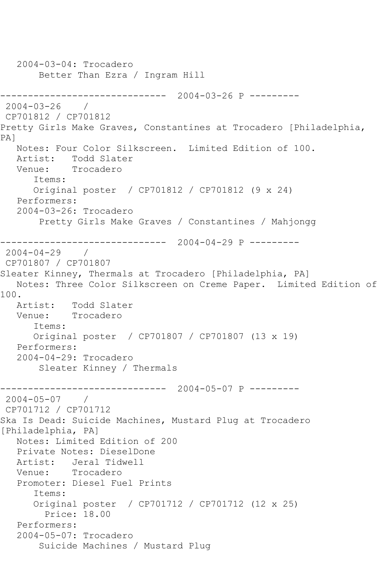```
 2004-03-04: Trocadero
        Better Than Ezra / Ingram Hill
------------------------------ 2004-03-26 P ---------
2004 - 03 - 26CP701812 / CP701812
Pretty Girls Make Graves, Constantines at Trocadero [Philadelphia, 
PA]
   Notes: Four Color Silkscreen. Limited Edition of 100.
   Artist: Todd Slater
   Venue: Trocadero
       Items:
      Original poster / CP701812 / CP701812 (9 x 24)
   Performers:
   2004-03-26: Trocadero
        Pretty Girls Make Graves / Constantines / Mahjongg
------------------------------ 2004-04-29 P ---------
2004-04-29 / 
CP701807 / CP701807
Sleater Kinney, Thermals at Trocadero [Philadelphia, PA]
   Notes: Three Color Silkscreen on Creme Paper. Limited Edition of 
100.
   Artist: Todd Slater
   Venue: Trocadero
      Items:
       Original poster / CP701807 / CP701807 (13 x 19)
   Performers:
   2004-04-29: Trocadero
        Sleater Kinney / Thermals
        ------------------------------ 2004-05-07 P ---------
2004-05-07 / 
CP701712 / CP701712
Ska Is Dead: Suicide Machines, Mustard Plug at Trocadero 
[Philadelphia, PA]
   Notes: Limited Edition of 200
   Private Notes: DieselDone
   Artist: Jeral Tidwell
   Venue: Trocadero
   Promoter: Diesel Fuel Prints
       Items:
       Original poster / CP701712 / CP701712 (12 x 25)
        Price: 18.00
   Performers:
   2004-05-07: Trocadero
        Suicide Machines / Mustard Plug
```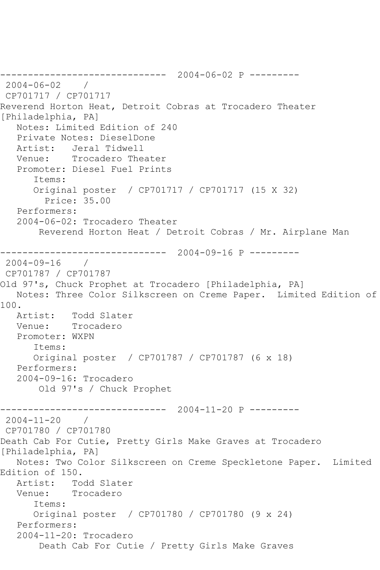------------------------------ 2004-06-02 P --------- 2004-06-02 / CP701717 / CP701717 Reverend Horton Heat, Detroit Cobras at Trocadero Theater [Philadelphia, PA] Notes: Limited Edition of 240 Private Notes: DieselDone Artist: Jeral Tidwell Venue: Trocadero Theater Promoter: Diesel Fuel Prints Items: Original poster / CP701717 / CP701717 (15 X 32) Price: 35.00 Performers: 2004-06-02: Trocadero Theater Reverend Horton Heat / Detroit Cobras / Mr. Airplane Man ------------------------------ 2004-09-16 P --------- 2004-09-16 / CP701787 / CP701787 Old 97's, Chuck Prophet at Trocadero [Philadelphia, PA] Notes: Three Color Silkscreen on Creme Paper. Limited Edition of 100. Artist: Todd Slater<br>Venue: Trocadero Trocadero Promoter: WXPN Items: Original poster / CP701787 / CP701787 (6 x 18) Performers: 2004-09-16: Trocadero Old 97's / Chuck Prophet ------------------------------ 2004-11-20 P --------- 2004-11-20 / CP701780 / CP701780 Death Cab For Cutie, Pretty Girls Make Graves at Trocadero [Philadelphia, PA] Notes: Two Color Silkscreen on Creme Speckletone Paper. Limited Edition of 150. Artist: Todd Slater Venue: Trocadero Items: Original poster / CP701780 / CP701780 (9 x 24) Performers: 2004-11-20: Trocadero Death Cab For Cutie / Pretty Girls Make Graves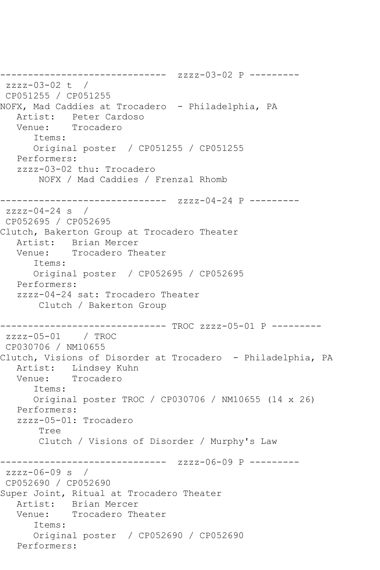```
------------------------------ zzzz-03-02 P ---------
zzzz-03-02 t / 
CP051255 / CP051255
NOFX, Mad Caddies at Trocadero - Philadelphia, PA
  Artist: Peter Cardoso<br>Venue: Trocadero
            Trocadero
       Items:
      Original poster / CP051255 / CP051255
   Performers:
   zzzz-03-02 thu: Trocadero
        NOFX / Mad Caddies / Frenzal Rhomb
------------------------------ zzzz-04-24 P ---------
zzzz-04-24 s / 
CP052695 / CP052695
Clutch, Bakerton Group at Trocadero Theater
   Artist: Brian Mercer
   Venue: Trocadero Theater
      Items:
      Original poster / CP052695 / CP052695
   Performers:
   zzzz-04-24 sat: Trocadero Theater
        Clutch / Bakerton Group
------------------------------ TROC zzzz-05-01 P ---------
zzzz-05-01 / TROC 
CP030706 / NM10655
Clutch, Visions of Disorder at Trocadero - Philadelphia, PA
  Artist: Lindsey Kuhn<br>Venue: Trocadero
            Trocadero
       Items:
      Original poster TROC / CP030706 / NM10655 (14 x 26)
   Performers:
   zzzz-05-01: Trocadero
        Tree
        Clutch / Visions of Disorder / Murphy's Law
------------------------------ zzzz-06-09 P ---------
zzzz-06-09 s /
CP052690 / CP052690
Super Joint, Ritual at Trocadero Theater
 Artist: Brian Mercer
 Venue: Trocadero Theater
       Items:
       Original poster / CP052690 / CP052690
   Performers:
```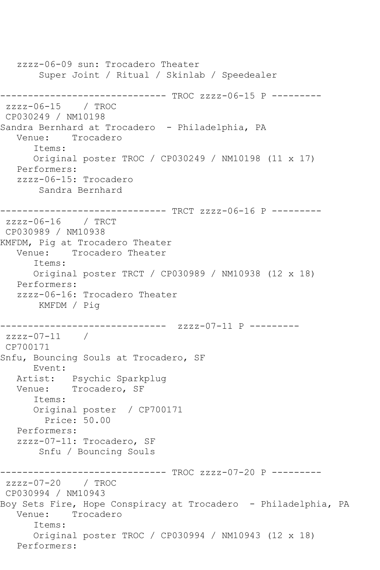zzzz-06-09 sun: Trocadero Theater Super Joint / Ritual / Skinlab / Speedealer ------------------------------ TROC zzzz-06-15 P --------  $zzzz-06-15$  / TROC CP030249 / NM10198 Sandra Bernhard at Trocadero - Philadelphia, PA Venue: Trocadero Items: Original poster TROC / CP030249 / NM10198 (11 x 17) Performers: zzzz-06-15: Trocadero Sandra Bernhard ------------------------------ TRCT zzzz-06-16 P -------- zzzz-06-16 / TRCT CP030989 / NM10938 KMFDM, Pig at Trocadero Theater Venue: Trocadero Theater Items: Original poster TRCT / CP030989 / NM10938 (12 x 18) Performers: zzzz-06-16: Trocadero Theater KMFDM / Pig ------------------------------ zzzz-07-11 P -------- zzzz-07-11 / CP700171 Snfu, Bouncing Souls at Trocadero, SF Event: Artist: Psychic Sparkplug Venue: Trocadero, SF Items: Original poster / CP700171 Price: 50.00 Performers: zzzz-07-11: Trocadero, SF Snfu / Bouncing Souls ------------------------------ TROC zzzz-07-20 P --------  $zzzz-07-20$  / TROC CP030994 / NM10943 Boy Sets Fire, Hope Conspiracy at Trocadero - Philadelphia, PA Venue: Trocadero Items: Original poster TROC / CP030994 / NM10943 (12 x 18) Performers: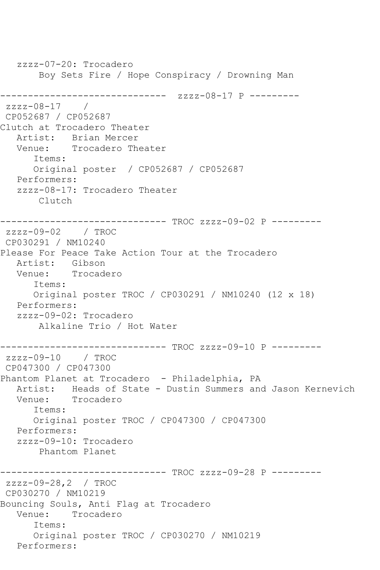zzzz-07-20: Trocadero Boy Sets Fire / Hope Conspiracy / Drowning Man ------------------------------ zzzz-08-17 P -------- zzzz-08-17 / CP052687 / CP052687 Clutch at Trocadero Theater Artist: Brian Mercer Venue: Trocadero Theater Items: Original poster / CP052687 / CP052687 Performers: zzzz-08-17: Trocadero Theater Clutch ------------------------------ TROC zzzz-09-02 P -------- zzzz-09-02 / TROC CP030291 / NM10240 Please For Peace Take Action Tour at the Trocadero Artist: Gibson<br>Venue: Trocade Trocadero Items: Original poster TROC / CP030291 / NM10240 (12 x 18) Performers: zzzz-09-02: Trocadero Alkaline Trio / Hot Water ------------------------------ TROC zzzz-09-10 P -------- zzzz-09-10 / TROC CP047300 / CP047300 Phantom Planet at Trocadero - Philadelphia, PA Artist: Heads of State - Dustin Summers and Jason Kernevich<br>Venue: Trocadero Trocadero Items: Original poster TROC / CP047300 / CP047300 Performers: zzzz-09-10: Trocadero Phantom Planet ------------------------------ TROC zzzz-09-28 P -------- zzzz-09-28,2 / TROC CP030270 / NM10219 Bouncing Souls, Anti Flag at Trocadero Venue: Trocadero Items: Original poster TROC / CP030270 / NM10219 Performers: